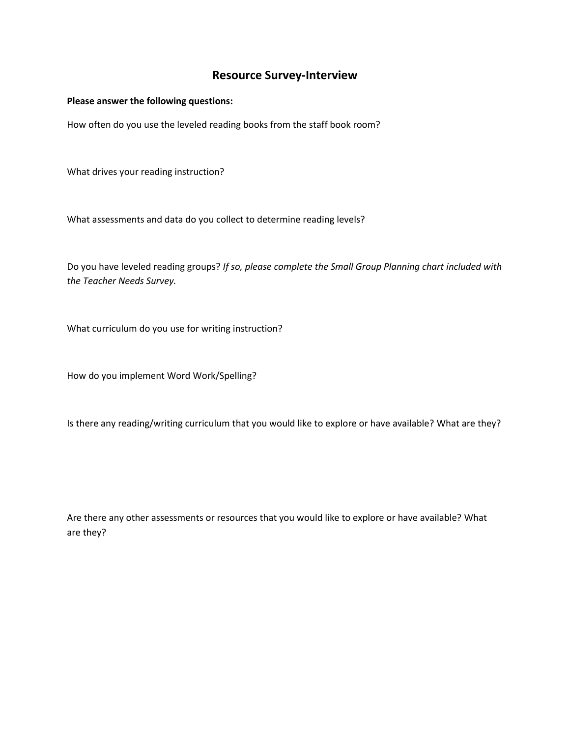### **Resource Survey-Interview**

#### **Please answer the following questions:**

How often do you use the leveled reading books from the staff book room?

What drives your reading instruction?

What assessments and data do you collect to determine reading levels?

Do you have leveled reading groups? *If so, please complete the Small Group Planning chart included with the Teacher Needs Survey.*

What curriculum do you use for writing instruction?

How do you implement Word Work/Spelling?

Is there any reading/writing curriculum that you would like to explore or have available? What are they?

Are there any other assessments or resources that you would like to explore or have available? What are they?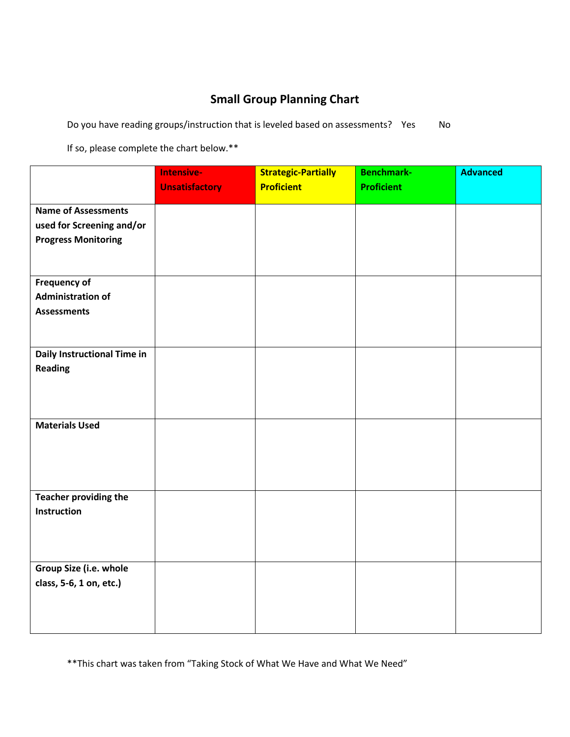# **Small Group Planning Chart**

Do you have reading groups/instruction that is leveled based on assessments? Yes No

If so, please complete the chart below.\*\*

|                              | Intensive-            | <b>Strategic-Partially</b> | <b>Benchmark-</b> | <b>Advanced</b> |
|------------------------------|-----------------------|----------------------------|-------------------|-----------------|
|                              | <b>Unsatisfactory</b> | <b>Proficient</b>          | <b>Proficient</b> |                 |
| <b>Name of Assessments</b>   |                       |                            |                   |                 |
| used for Screening and/or    |                       |                            |                   |                 |
| <b>Progress Monitoring</b>   |                       |                            |                   |                 |
|                              |                       |                            |                   |                 |
|                              |                       |                            |                   |                 |
| Frequency of                 |                       |                            |                   |                 |
| <b>Administration of</b>     |                       |                            |                   |                 |
| <b>Assessments</b>           |                       |                            |                   |                 |
|                              |                       |                            |                   |                 |
|                              |                       |                            |                   |                 |
| Daily Instructional Time in  |                       |                            |                   |                 |
| <b>Reading</b>               |                       |                            |                   |                 |
|                              |                       |                            |                   |                 |
|                              |                       |                            |                   |                 |
| <b>Materials Used</b>        |                       |                            |                   |                 |
|                              |                       |                            |                   |                 |
|                              |                       |                            |                   |                 |
|                              |                       |                            |                   |                 |
|                              |                       |                            |                   |                 |
| <b>Teacher providing the</b> |                       |                            |                   |                 |
| <b>Instruction</b>           |                       |                            |                   |                 |
|                              |                       |                            |                   |                 |
|                              |                       |                            |                   |                 |
|                              |                       |                            |                   |                 |
| Group Size (i.e. whole       |                       |                            |                   |                 |
| class, 5-6, 1 on, etc.)      |                       |                            |                   |                 |
|                              |                       |                            |                   |                 |
|                              |                       |                            |                   |                 |
|                              |                       |                            |                   |                 |

\*\*This chart was taken from "Taking Stock of What We Have and What We Need"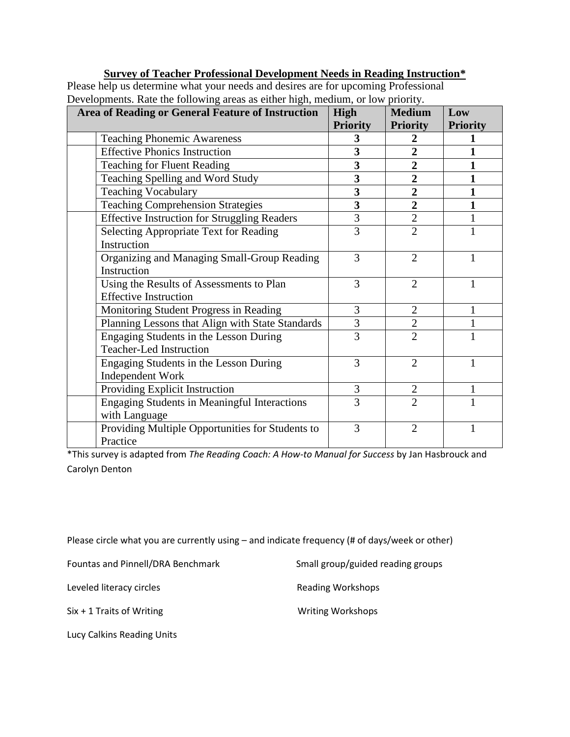### **Survey of Teacher Professional Development Needs in Reading Instruction\***

Please help us determine what your needs and desires are for upcoming Professional Developments. Rate the following areas as either high, medium, or low priority.

| $\circ$<br><b>Area of Reading or General Feature of Instruction</b> | High            | <b>Medium</b>   | Low             |
|---------------------------------------------------------------------|-----------------|-----------------|-----------------|
|                                                                     | <b>Priority</b> | <b>Priority</b> | <b>Priority</b> |
| <b>Teaching Phonemic Awareness</b>                                  | 3               | 2               |                 |
| <b>Effective Phonics Instruction</b>                                | 3               | $\overline{2}$  |                 |
| <b>Teaching for Fluent Reading</b>                                  | 3               | $\overline{2}$  |                 |
| Teaching Spelling and Word Study                                    | 3               | $\overline{2}$  |                 |
| <b>Teaching Vocabulary</b>                                          | 3               | $\overline{2}$  |                 |
| <b>Teaching Comprehension Strategies</b>                            | 3               | $\overline{2}$  |                 |
| <b>Effective Instruction for Struggling Readers</b>                 | $\overline{3}$  | $\overline{2}$  |                 |
| Selecting Appropriate Text for Reading                              | 3               | $\overline{2}$  |                 |
| Instruction                                                         |                 |                 |                 |
| Organizing and Managing Small-Group Reading                         | 3               | $\overline{2}$  |                 |
| Instruction                                                         |                 |                 |                 |
| Using the Results of Assessments to Plan                            | 3               | $\overline{2}$  |                 |
| <b>Effective Instruction</b>                                        |                 |                 |                 |
| Monitoring Student Progress in Reading                              | 3               | $\mathfrak{2}$  |                 |
| Planning Lessons that Align with State Standards                    | 3               | $\overline{2}$  |                 |
| Engaging Students in the Lesson During                              | 3               | $\overline{2}$  | 1               |
| <b>Teacher-Led Instruction</b>                                      |                 |                 |                 |
| Engaging Students in the Lesson During                              | 3               | $\overline{2}$  | 1               |
| <b>Independent Work</b>                                             |                 |                 |                 |
| Providing Explicit Instruction                                      | 3               | $\overline{2}$  |                 |
| <b>Engaging Students in Meaningful Interactions</b>                 | 3               | $\overline{2}$  |                 |
| with Language                                                       |                 |                 |                 |
| Providing Multiple Opportunities for Students to                    | 3               | $\overline{2}$  | 1               |
| Practice                                                            |                 |                 |                 |

\*This survey is adapted from *The Reading Coach: A How-to Manual for Success* by Jan Hasbrouck and Carolyn Denton

Please circle what you are currently using – and indicate frequency (# of days/week or other)

Fountas and Pinnell/DRA Benchmark Small group/guided reading groups

Leveled literacy circles **Reading Workshops** 

Six + 1 Traits of Writing Writing Workshops

Lucy Calkins Reading Units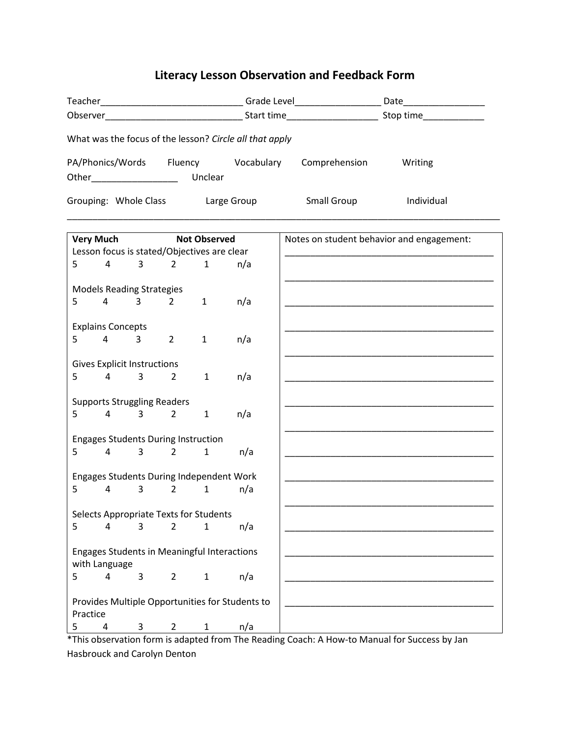# **Literacy Lesson Observation and Feedback Form**

| What was the focus of the lesson? Circle all that apply                                             |                                                           |                                                                              |                |                        |                                           |                    |            |
|-----------------------------------------------------------------------------------------------------|-----------------------------------------------------------|------------------------------------------------------------------------------|----------------|------------------------|-------------------------------------------|--------------------|------------|
|                                                                                                     | PA/Phonics/Words Fluency Vocabulary Comprehension Writing |                                                                              |                |                        |                                           |                    |            |
|                                                                                                     |                                                           | Grouping: Whole Class                                                        |                |                        | Large Group                               | <b>Small Group</b> | Individual |
| Very Much Not Observed<br>Lesson focus is stated/Objectives are clear<br>4 3 2 1 n/a<br>$5^{\circ}$ |                                                           |                                                                              |                |                        | Notes on student behavior and engagement: |                    |            |
|                                                                                                     |                                                           |                                                                              |                |                        |                                           |                    |            |
|                                                                                                     |                                                           | <b>Models Reading Strategies</b>                                             |                |                        |                                           |                    |            |
|                                                                                                     |                                                           | $5 \t 4 \t 3 \t 2$                                                           |                |                        | $1 \qquad n/a$                            |                    |            |
|                                                                                                     |                                                           | <b>Explains Concepts</b><br>$5 \qquad 4 \qquad 3$                            | $\overline{2}$ | $\mathbf{1}$           | n/a                                       |                    |            |
|                                                                                                     |                                                           |                                                                              |                |                        |                                           |                    |            |
| <b>Gives Explicit Instructions</b>                                                                  |                                                           |                                                                              |                |                        |                                           |                    |            |
|                                                                                                     |                                                           | $5 \qquad 4 \qquad 3$                                                        | $\overline{2}$ | $\mathbf{1}$           | n/a                                       |                    |            |
|                                                                                                     |                                                           | <b>Supports Struggling Readers</b>                                           |                |                        |                                           |                    |            |
|                                                                                                     |                                                           | $5 \qquad 4 \qquad 3 \qquad 2$                                               |                | $1 \quad \blacksquare$ | n/a                                       |                    |            |
|                                                                                                     |                                                           |                                                                              |                |                        |                                           |                    |            |
|                                                                                                     |                                                           | <b>Engages Students During Instruction</b><br>$5 \qquad 4 \qquad 3 \qquad 2$ |                | $\mathbf{1}$           | n/a                                       |                    |            |
|                                                                                                     |                                                           |                                                                              |                |                        |                                           |                    |            |
|                                                                                                     |                                                           | Engages Students During Independent Work                                     |                |                        |                                           |                    |            |
|                                                                                                     |                                                           | $5 \qquad 4 \qquad 3 \qquad 2 \qquad 1$                                      |                |                        | n/a                                       |                    |            |
|                                                                                                     |                                                           | Selects Appropriate Texts for Students                                       |                |                        |                                           |                    |            |
| 5                                                                                                   | 4                                                         | 3                                                                            | $\overline{2}$ | $\mathbf{1}$           | n/a                                       |                    |            |
|                                                                                                     |                                                           |                                                                              |                |                        |                                           |                    |            |
|                                                                                                     |                                                           | <b>Engages Students in Meaningful Interactions</b>                           |                |                        |                                           |                    |            |
| 5                                                                                                   | with Language<br>4                                        | 3                                                                            | $\overline{2}$ | $\mathbf{1}$           | n/a                                       |                    |            |
|                                                                                                     |                                                           |                                                                              |                |                        |                                           |                    |            |
|                                                                                                     | Provides Multiple Opportunities for Students to           |                                                                              |                |                        |                                           |                    |            |
| 5                                                                                                   | Practice<br>$\overline{a}$                                | 3                                                                            | $\overline{2}$ | 1                      | n/a                                       |                    |            |
|                                                                                                     |                                                           |                                                                              |                |                        |                                           |                    |            |

\*This observation form is adapted from The Reading Coach: A How-to Manual for Success by Jan Hasbrouck and Carolyn Denton